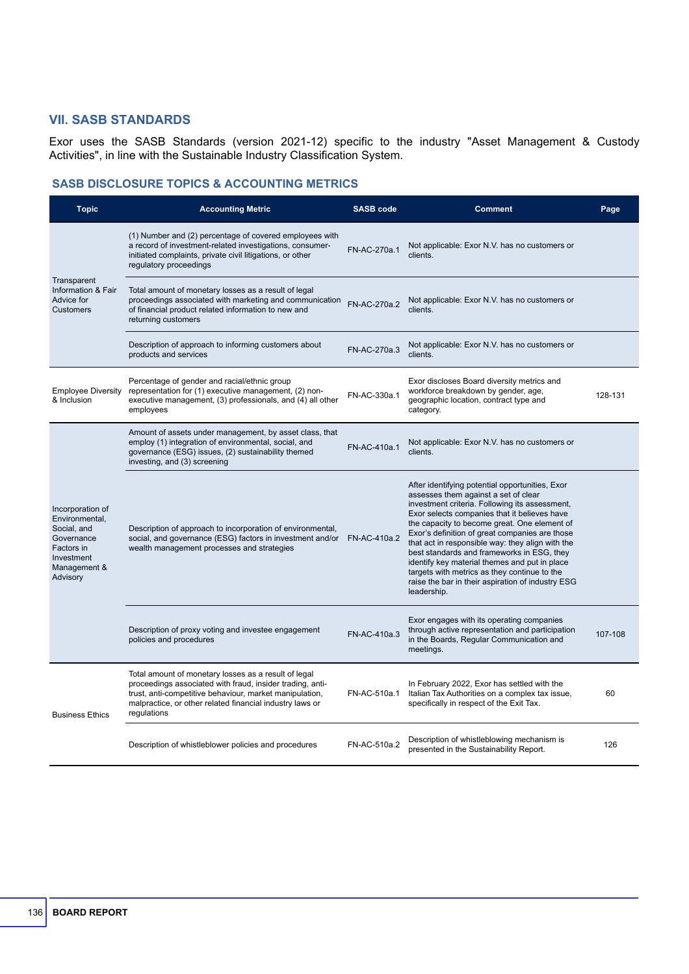## **VII. SASB STANDARDS**

Exor uses the SASB Standards (version 2021-12) specific to the industry "Asset Management & Custody Activities", in line with the Sustainable Industry Classification System.

## **SASB DISCLOSURE TOPICS & ACCOUNTING METRICS**

| <b>Topic</b>                                                                                                            | <b>Accounting Metric</b>                                                                                                                                                                                                                                | <b>SASB code</b> | <b>Comment</b>                                                                                                                                                                                                                                                                                                                                                                                                                                                                                                                                                     | Page    |
|-------------------------------------------------------------------------------------------------------------------------|---------------------------------------------------------------------------------------------------------------------------------------------------------------------------------------------------------------------------------------------------------|------------------|--------------------------------------------------------------------------------------------------------------------------------------------------------------------------------------------------------------------------------------------------------------------------------------------------------------------------------------------------------------------------------------------------------------------------------------------------------------------------------------------------------------------------------------------------------------------|---------|
| Transparent<br>Information & Fair<br>Advice for<br>Customers                                                            | (1) Number and (2) percentage of covered employees with<br>a record of investment-related investigations, consumer-<br>initiated complaints, private civil litigations, or other<br>regulatory proceedings                                              | FN-AC-270a.1     | Not applicable: Exor N.V. has no customers or<br>clients.                                                                                                                                                                                                                                                                                                                                                                                                                                                                                                          |         |
|                                                                                                                         | Total amount of monetary losses as a result of legal<br>proceedings associated with marketing and communication<br>of financial product related information to new and<br>returning customers                                                           | FN-AC-270a.2     | Not applicable: Exor N.V. has no customers or<br>clients.                                                                                                                                                                                                                                                                                                                                                                                                                                                                                                          |         |
|                                                                                                                         | Description of approach to informing customers about<br>products and services                                                                                                                                                                           | FN-AC-270a.3     | Not applicable: Exor N.V. has no customers or<br>clients.                                                                                                                                                                                                                                                                                                                                                                                                                                                                                                          |         |
| <b>Employee Diversity</b><br>& Inclusion                                                                                | Percentage of gender and racial/ethnic group<br>representation for (1) executive management, (2) non-<br>executive management, (3) professionals, and (4) all other<br>employees                                                                        | FN-AC-330a.1     | Exor discloses Board diversity metrics and<br>workforce breakdown by gender, age,<br>geographic location, contract type and<br>category.                                                                                                                                                                                                                                                                                                                                                                                                                           | 128-131 |
| Incorporation of<br>Environmental,<br>Social, and<br>Governance<br>Factors in<br>Investment<br>Management &<br>Advisory | Amount of assets under management, by asset class, that<br>employ (1) integration of environmental, social, and<br>governance (ESG) issues, (2) sustainability themed<br>investing, and (3) screening                                                   | FN-AC-410a.1     | Not applicable: Exor N.V. has no customers or<br>clients.                                                                                                                                                                                                                                                                                                                                                                                                                                                                                                          |         |
|                                                                                                                         | Description of approach to incorporation of environmental,<br>social, and governance (ESG) factors in investment and/or<br>wealth management processes and strategies                                                                                   | FN-AC-410a.2     | After identifying potential opportunities, Exor<br>assesses them against a set of clear<br>investment criteria. Following its assessment,<br>Exor selects companies that it believes have<br>the capacity to become great. One element of<br>Exor's definition of great companies are those<br>that act in responsible way: they align with the<br>best standards and frameworks in ESG, they<br>identify key material themes and put in place<br>targets with metrics as they continue to the<br>raise the bar in their aspiration of industry ESG<br>leadership. |         |
|                                                                                                                         | Description of proxy voting and investee engagement<br>policies and procedures                                                                                                                                                                          | FN-AC-410a.3     | Exor engages with its operating companies<br>through active representation and participation<br>in the Boards, Regular Communication and<br>meetings.                                                                                                                                                                                                                                                                                                                                                                                                              | 107-108 |
| <b>Business Ethics</b>                                                                                                  | Total amount of monetary losses as a result of legal<br>proceedings associated with fraud, insider trading, anti-<br>trust, anti-competitive behaviour, market manipulation,<br>malpractice, or other related financial industry laws or<br>regulations | FN-AC-510a.1     | In February 2022, Exor has settled with the<br>Italian Tax Authorities on a complex tax issue,<br>specifically in respect of the Exit Tax.                                                                                                                                                                                                                                                                                                                                                                                                                         | 60      |
|                                                                                                                         | Description of whistleblower policies and procedures                                                                                                                                                                                                    | FN-AC-510a.2     | Description of whistleblowing mechanism is<br>presented in the Sustainability Report.                                                                                                                                                                                                                                                                                                                                                                                                                                                                              | 126     |